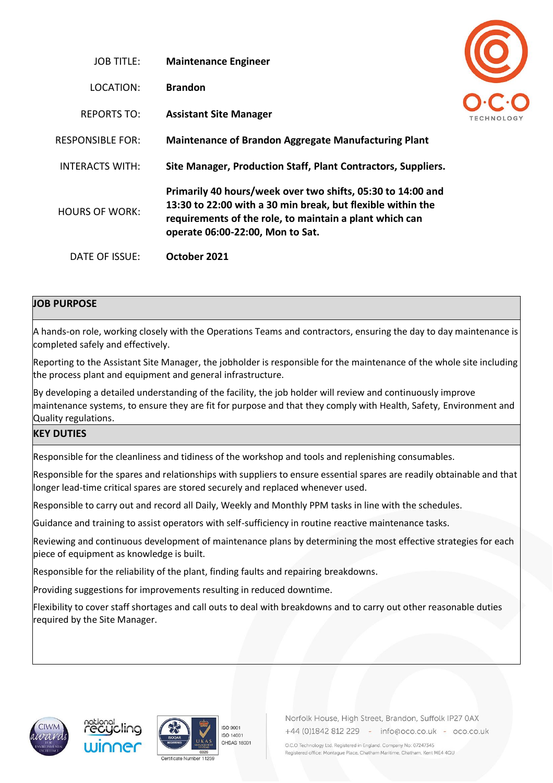| JOB TITLE:              | <b>Maintenance Engineer</b>                                                                                                                                                                                               |  |
|-------------------------|---------------------------------------------------------------------------------------------------------------------------------------------------------------------------------------------------------------------------|--|
| LOCATION:               | <b>Brandon</b>                                                                                                                                                                                                            |  |
| <b>REPORTS TO:</b>      | <b>Assistant Site Manager</b>                                                                                                                                                                                             |  |
| <b>RESPONSIBLE FOR:</b> | <b>Maintenance of Brandon Aggregate Manufacturing Plant</b>                                                                                                                                                               |  |
| INTERACTS WITH:         | Site Manager, Production Staff, Plant Contractors, Suppliers.                                                                                                                                                             |  |
| <b>HOURS OF WORK:</b>   | Primarily 40 hours/week over two shifts, 05:30 to 14:00 and<br>13:30 to 22:00 with a 30 min break, but flexible within the<br>requirements of the role, to maintain a plant which can<br>operate 06:00-22:00, Mon to Sat. |  |
| DATE OF ISSUE:          | October 2021                                                                                                                                                                                                              |  |

## **JOB PURPOSE**

A hands-on role, working closely with the Operations Teams and contractors, ensuring the day to day maintenance is completed safely and effectively.

Reporting to the Assistant Site Manager, the jobholder is responsible for the maintenance of the whole site including the process plant and equipment and general infrastructure.

By developing a detailed understanding of the facility, the job holder will review and continuously improve maintenance systems, to ensure they are fit for purpose and that they comply with Health, Safety, Environment and Quality regulations.

### **KEY DUTIES**

Responsible for the cleanliness and tidiness of the workshop and tools and replenishing consumables.

Responsible for the spares and relationships with suppliers to ensure essential spares are readily obtainable and that longer lead-time critical spares are stored securely and replaced whenever used.

Responsible to carry out and record all Daily, Weekly and Monthly PPM tasks in line with the schedules.

Guidance and training to assist operators with self-sufficiency in routine reactive maintenance tasks.

Reviewing and continuous development of maintenance plans by determining the most effective strategies for each piece of equipment as knowledge is built.

Responsible for the reliability of the plant, finding faults and repairing breakdowns.

Providing suggestions for improvements resulting in reduced downtime.

Flexibility to cover staff shortages and call outs to deal with breakdowns and to carry out other reasonable duties required by the Site Manager.









Norfolk House, High Street, Brandon, Suffolk IP27 0AX +44 (0)1842 812 229 - info@oco.co.uk - oco.co.uk

O.C.O Technology Ltd. Registered in England. Company No: 07247345 Registered office: Montague Place, Chatham Maritime, Chatham, Kent ME4 4QU